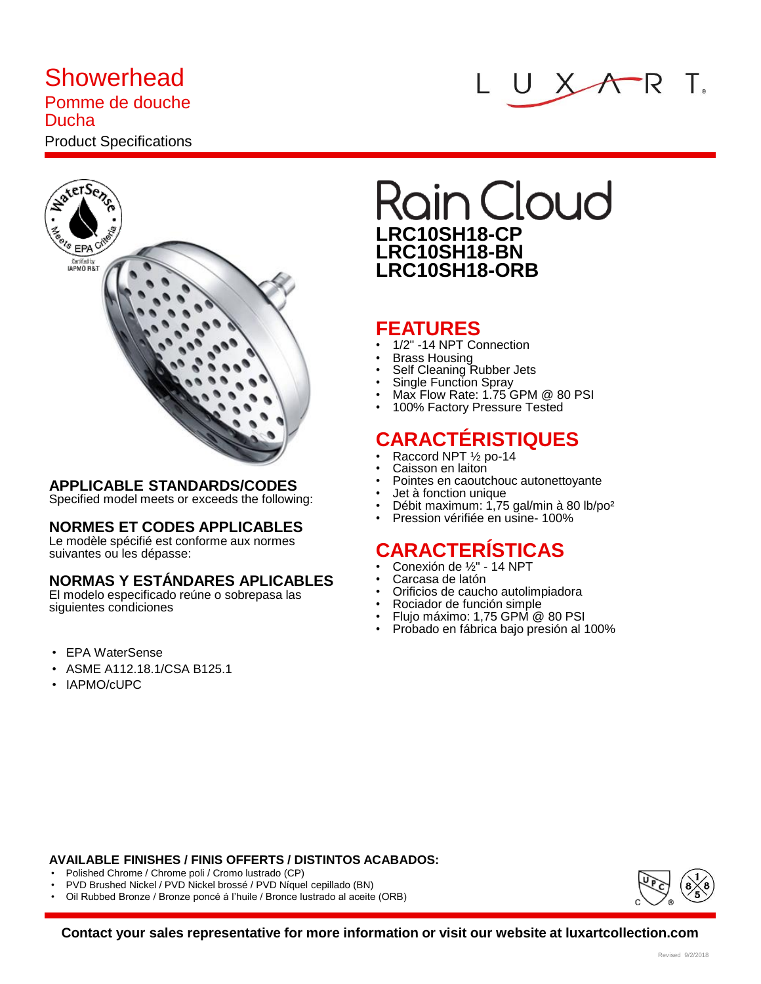# **Showerhead**

#### Pomme de douche Ducha

## Product Specifications





### **APPLICABLE STANDARDS/CODES**

Specified model meets or exceeds the following:

### **NORMES ET CODES APPLICABLES**

Le modèle spécifié est conforme aux normes suivantes ou les dépasse:

### **NORMAS Y ESTÁNDARES APLICABLES**

El modelo especificado reúne o sobrepasa las siguientes condiciones

- EPA WaterSense
- ASME A112.18.1/CSA B125.1
- IAPMO/cUPC

# **Rain Cloud LRC10SH18-CP LRC10SH18-BN LRC10SH18-ORB**

### **FEATURES**

- 1/2" -14 NPT Connection
- Brass Housing
- Self Cleaning Rubber Jets
- Single Function Spray
- Max Flow Rate: 1.75 GPM @ 80 PSI
- 100% Factory Pressure Tested

### **CARACTÉRISTIQUES**

- Raccord NPT ½ po-14
- Caisson en laiton
- Pointes en caoutchouc autonettoyante
- Jet à fonction unique
- Débit maximum: 1,75 gal/min à 80 lb/po²
- Pression vérifiée en usine- 100%

### **CARACTERÍSTICAS**

- Conexión de ½" 14 NPT
- Carcasa de latón
- Orificios de caucho autolimpiadora
- Rociador de función simple
- Flujo máximo: 1,75 GPM @ 80 PSI
- Probado en fábrica bajo presión al 100%

#### **AVAILABLE FINISHES / FINIS OFFERTS / DISTINTOS ACABADOS:**

- Polished Chrome / Chrome poli / Cromo lustrado (CP)
- PVD Brushed Nickel / PVD Nickel brossé / PVD Níquel cepillado (BN)
- Oil Rubbed Bronze / Bronze poncé á l'huile / Bronce lustrado al aceite (ORB)



**Contact your sales representative for more information or visit our website at luxartcollection.com**